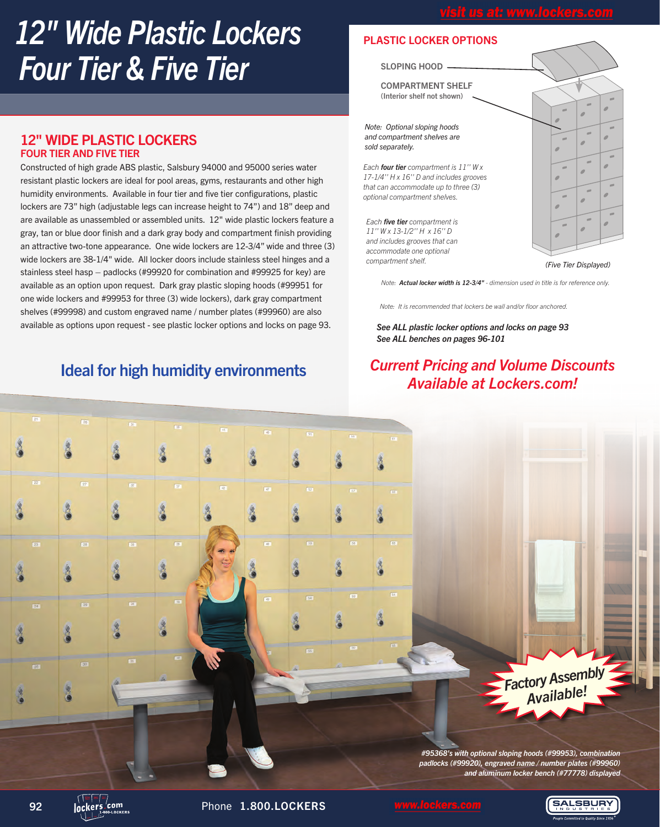# *12" Wide Plastic Lockers Four Tier & Five Tier*

#### 12" WIDE PLASTIC LOCKERS FOUR TIER AND FIVE TIER

Constructed of high grade ABS plastic, Salsbury 94000 and 95000 series water resistant plastic lockers are ideal for pool areas, gyms, restaurants and other high humidity environments. Available in four tier and five tier configurations, plastic lockers are 73" high (adjustable legs can increase height to 74") and 18" deep and are available as unassembled or assembled units. 12" wide plastic lockers feature a gray, tan or blue door finish and a dark gray body and compartment finish providing an attractive two-tone appearance. One wide lockers are 12-3/4" wide and three (3) wide lockers are 38-1/4" wide. All locker doors include stainless steel hinges and a stainless steel hasp – padlocks (#99920 for combination and #99925 for key) are available as an option upon request. Dark gray plastic sloping hoods (#99951 for one wide lockers and #99953 for three (3) wide lockers), dark gray compartment shelves (#99998) and custom engraved name / number plates (#99960) are also available as options upon request - see plastic locker options and locks on page 93.

## Ideal for high humidity environments

#### PLASTIC LOCKER OPTIONS

#### SLOPING HOOD -

COMPARTMENT SHELF (Interior shelf not shown)

*Note: Optional sloping hoods and compartment shelves are sold separately.*

*Each four tier compartment is 11'' W x 17-1/4'' H x 16'' D and includes grooves that can accommodate up to three (3) optional compartment shelves.*

*Each five tier compartment is 11'' W x 13-1/2'' H x 16'' D and includes grooves that can accommodate one optional compartment shelf.*



*(Five Tier Displayed)*

*Note: Actual locker width is 12-3/4" - dimension used in title is for reference only.*

*Note: It is recommended that lockers be wall and/or floor anchored.*

*See ALL benches on pages 96-101 See ALL plastic locker options and locks on page 93*

### *Current Pricing and Volume Discounts Available at Lockers.com!*

*Factory Assembly Available!*

*#95368's with optional sloping hoods (#99953), combination padlocks (#99920), engraved name / number plates (#99960) and aluminum locker bench (#77778) displayed*